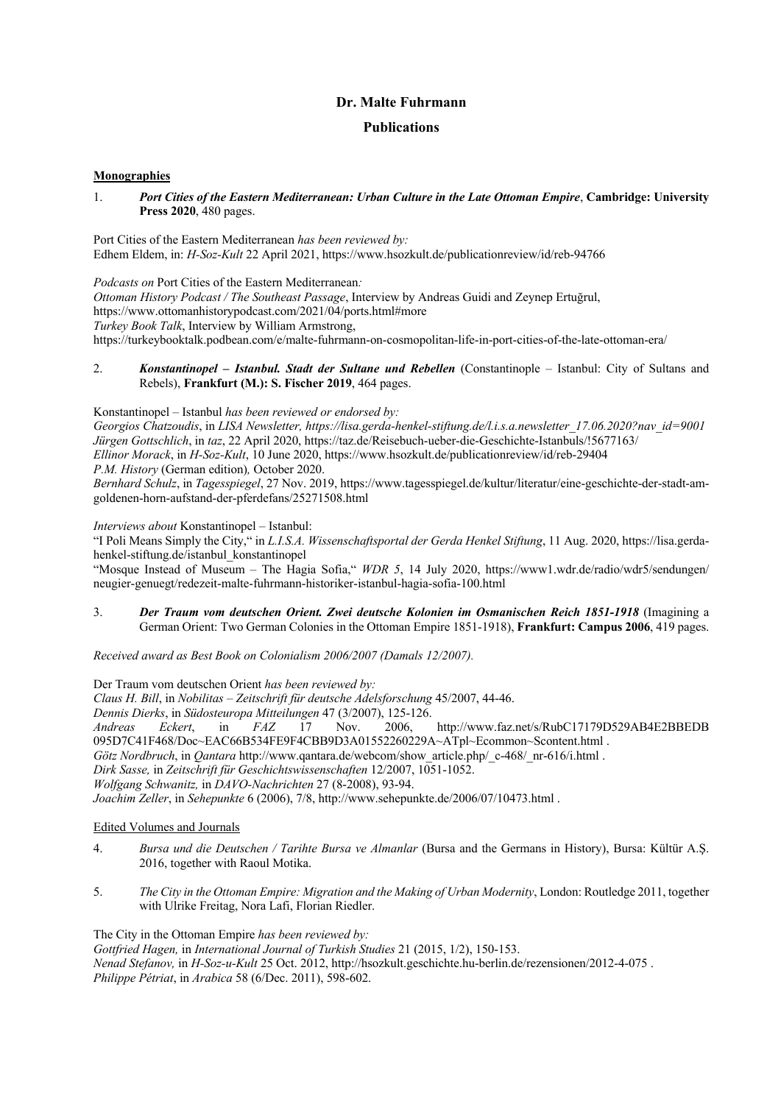# **Publications**

### **Monographies**

1. *Port Cities of the Eastern Mediterranean: Urban Culture in the Late Ottoman Empire*, **Cambridge: University Press 2020**, 480 pages.

Port Cities of the Eastern Mediterranean *has been reviewed by:* Edhem Eldem, in: *H-Soz-Kult* 22 April 2021, https://www.hsozkult.de/publicationreview/id/reb-94766

*Podcasts on* Port Cities of the Eastern Mediterranean*: Ottoman History Podcast / The Southeast Passage*, Interview by Andreas Guidi and Zeynep Ertuğrul, https://www.ottomanhistorypodcast.com/2021/04/ports.html#more *Turkey Book Talk*, Interview by William Armstrong, https://turkeybooktalk.podbean.com/e/malte-fuhrmann-on-cosmopolitan-life-in-port-cities-of-the-late-ottoman-era/

2. *Konstantinopel – Istanbul. Stadt der Sultane und Rebellen* (Constantinople – Istanbul: City of Sultans and Rebels), **Frankfurt (M.): S. Fischer 2019**, 464 pages.

Konstantinopel – Istanbul *has been reviewed or endorsed by: Georgios Chatzoudis*, in *LISA Newsletter, https://lisa.gerda-henkel-stiftung.de/l.i.s.a.newsletter\_17.06.2020?nav\_id=9001 Jürgen Gottschlich*, in *taz*, 22 April 2020, https://taz.de/Reisebuch-ueber-die-Geschichte-Istanbuls/!5677163/ *Ellinor Morack*, in *H-Soz-Kult*, 10 June 2020, https://www.hsozkult.de/publicationreview/id/reb-29404 *P.M. History* (German edition)*,* October 2020. *Bernhard Schulz*, in *Tagesspiegel*, 27 Nov. 2019, https://www.tagesspiegel.de/kultur/literatur/eine-geschichte-der-stadt-amgoldenen-horn-aufstand-der-pferdefans/25271508.html

*Interviews about* Konstantinopel – Istanbul:

"I Poli Means Simply the City," in *L.I.S.A. Wissenschaftsportal der Gerda Henkel Stiftung*, 11 Aug. 2020, https://lisa.gerdahenkel-stiftung.de/istanbul\_konstantinopel

"Mosque Instead of Museum – The Hagia Sofia," *WDR 5*, 14 July 2020, https://www1.wdr.de/radio/wdr5/sendungen/ neugier-genuegt/redezeit-malte-fuhrmann-historiker-istanbul-hagia-sofia-100.html

3. *Der Traum vom deutschen Orient. Zwei deutsche Kolonien im Osmanischen Reich 1851-1918* (Imagining a German Orient: Two German Colonies in the Ottoman Empire 1851-1918), **Frankfurt: Campus 2006**, 419 pages.

*Received award as Best Book on Colonialism 2006/2007 (Damals 12/2007).*

Der Traum vom deutschen Orient *has been reviewed by: Claus H. Bill*, in *Nobilitas – Zeitschrift für deutsche Adelsforschung* 45/2007, 44-46. *Dennis Dierks*, in *Südosteuropa Mitteilungen* 47 (3/2007), 125-126. *Andreas Eckert*, in *FAZ* 17 Nov. 2006, http://www.faz.net/s/RubC17179D529AB4E2BBEDB 095D7C41F468/Doc~EAC66B534FE9F4CBB9D3A01552260229A~ATpl~Ecommon~Scontent.html . *Götz Nordbruch*, in *Qantara* http://www.qantara.de/webcom/show\_article.php/\_c-468/\_nr-616/i.html . *Dirk Sasse,* in *Zeitschrift für Geschichtswissenschaften* 12/2007, 1051-1052. *Wolfgang Schwanitz,* in *DAVO-Nachrichten* 27 (8-2008), 93-94. *Joachim Zeller*, in *Sehepunkte* 6 (2006), 7/8, http://www.sehepunkte.de/2006/07/10473.html .

Edited Volumes and Journals

- 4. *Bursa und die Deutschen / Tarihte Bursa ve Almanlar* (Bursa and the Germans in History), Bursa: Kültür A.Ş. 2016, together with Raoul Motika.
- 5. *The City in the Ottoman Empire: Migration and the Making of Urban Modernity*, London: Routledge 2011, together with Ulrike Freitag, Nora Lafi, Florian Riedler.

The City in the Ottoman Empire *has been reviewed by:* 

*Gottfried Hagen,* in *International Journal of Turkish Studies* 21 (2015, 1/2), 150-153. *Nenad Stefanov,* in *H-Soz-u-Kult* 25 Oct. 2012, http://hsozkult.geschichte.hu-berlin.de/rezensionen/2012-4-075 . *Philippe Pétriat*, in *Arabica* 58 (6/Dec. 2011), 598-602.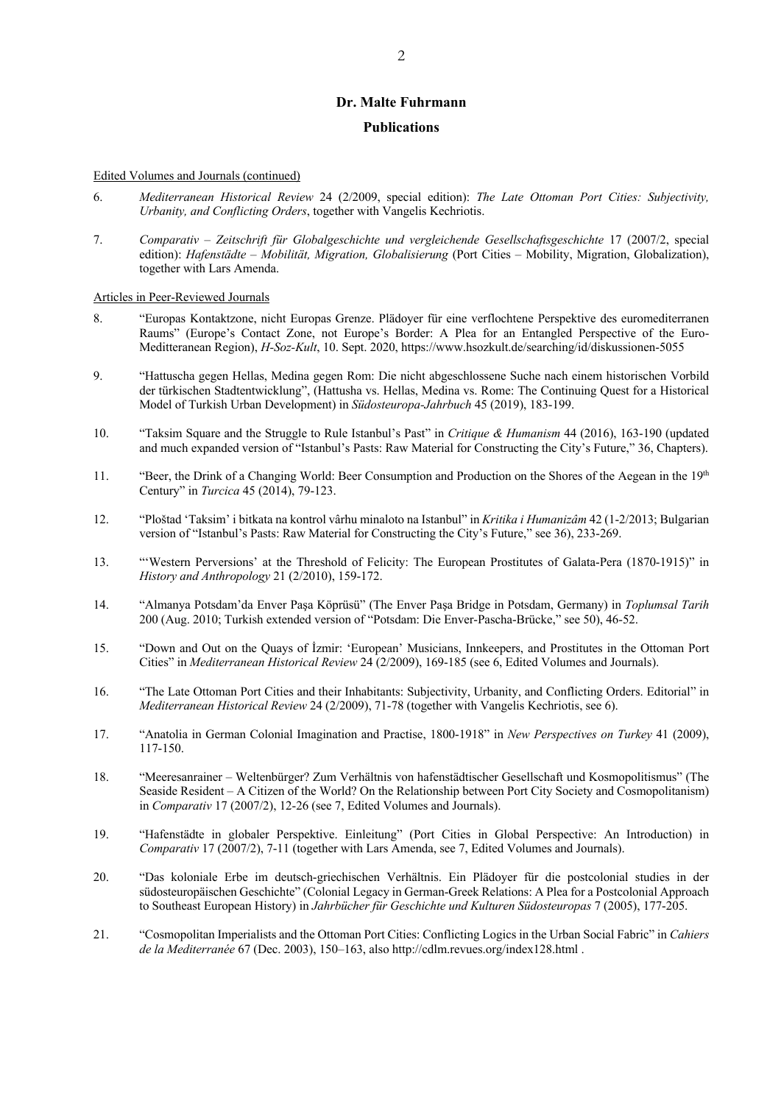#### **Publications**

#### Edited Volumes and Journals (continued)

- 6. *Mediterranean Historical Review* 24 (2/2009, special edition): *The Late Ottoman Port Cities: Subjectivity, Urbanity, and Conflicting Orders*, together with Vangelis Kechriotis.
- 7. *Comparativ – Zeitschrift für Globalgeschichte und vergleichende Gesellschaftsgeschichte* 17 (2007/2, special edition): *Hafenstädte – Mobilität, Migration, Globalisierung* (Port Cities – Mobility, Migration, Globalization), together with Lars Amenda.

Articles in Peer-Reviewed Journals

- 8. "Europas Kontaktzone, nicht Europas Grenze. Plädoyer für eine verflochtene Perspektive des euromediterranen Raums" (Europe's Contact Zone, not Europe's Border: A Plea for an Entangled Perspective of the Euro-Meditteranean Region), *H-Soz-Kult*, 10. Sept. 2020, https://www.hsozkult.de/searching/id/diskussionen-5055
- 9. "Hattuscha gegen Hellas, Medina gegen Rom: Die nicht abgeschlossene Suche nach einem historischen Vorbild der türkischen Stadtentwicklung", (Hattusha vs. Hellas, Medina vs. Rome: The Continuing Quest for a Historical Model of Turkish Urban Development) in *Südosteuropa-Jahrbuch* 45 (2019), 183-199.
- 10. "Taksim Square and the Struggle to Rule Istanbul's Past" in *Critique & Humanism* 44 (2016), 163-190 (updated and much expanded version of "Istanbul's Pasts: Raw Material for Constructing the City's Future," 36, Chapters).
- 11. "Beer, the Drink of a Changing World: Beer Consumption and Production on the Shores of the Aegean in the 19<sup>th</sup> Century" in *Turcica* 45 (2014), 79-123.
- 12. "Ploštad 'Taksim' i bitkata na kontrol vârhu minaloto na Istanbul" in *Kritika i Humanizâm* 42 (1-2/2013; Bulgarian version of "Istanbul's Pasts: Raw Material for Constructing the City's Future," see 36), 233-269.
- 13. "'Western Perversions' at the Threshold of Felicity: The European Prostitutes of Galata-Pera (1870-1915)" in *History and Anthropology* 21 (2/2010), 159-172.
- 14. "Almanya Potsdam'da Enver Paşa Köprüsü" (The Enver Paşa Bridge in Potsdam, Germany) in *Toplumsal Tarih*  200 (Aug. 2010; Turkish extended version of "Potsdam: Die Enver-Pascha-Brücke," see 50), 46-52.
- 15. "Down and Out on the Quays of İzmir: 'European' Musicians, Innkeepers, and Prostitutes in the Ottoman Port Cities" in *Mediterranean Historical Review* 24 (2/2009), 169-185 (see 6, Edited Volumes and Journals).
- 16. "The Late Ottoman Port Cities and their Inhabitants: Subjectivity, Urbanity, and Conflicting Orders. Editorial" in *Mediterranean Historical Review* 24 (2/2009), 71-78 (together with Vangelis Kechriotis, see 6).
- 17. "Anatolia in German Colonial Imagination and Practise, 1800-1918" in *New Perspectives on Turkey* 41 (2009), 117-150.
- 18. "Meeresanrainer Weltenbürger? Zum Verhältnis von hafenstädtischer Gesellschaft und Kosmopolitismus" (The Seaside Resident – A Citizen of the World? On the Relationship between Port City Society and Cosmopolitanism) in *Comparativ* 17 (2007/2), 12-26 (see 7, Edited Volumes and Journals).
- 19. "Hafenstädte in globaler Perspektive. Einleitung" (Port Cities in Global Perspective: An Introduction) in *Comparativ* 17 (2007/2), 7-11 (together with Lars Amenda, see 7, Edited Volumes and Journals).
- 20. "Das koloniale Erbe im deutsch-griechischen Verhältnis. Ein Plädoyer für die postcolonial studies in der südosteuropäischen Geschichte" (Colonial Legacy in German-Greek Relations: A Plea for a Postcolonial Approach to Southeast European History) in *Jahrbücher für Geschichte und Kulturen Südosteuropas* 7 (2005), 177-205.
- 21. "Cosmopolitan Imperialists and the Ottoman Port Cities: Conflicting Logics in the Urban Social Fabric" in *Cahiers de la Mediterranée* 67 (Dec. 2003), 150–163, also http://cdlm.revues.org/index128.html .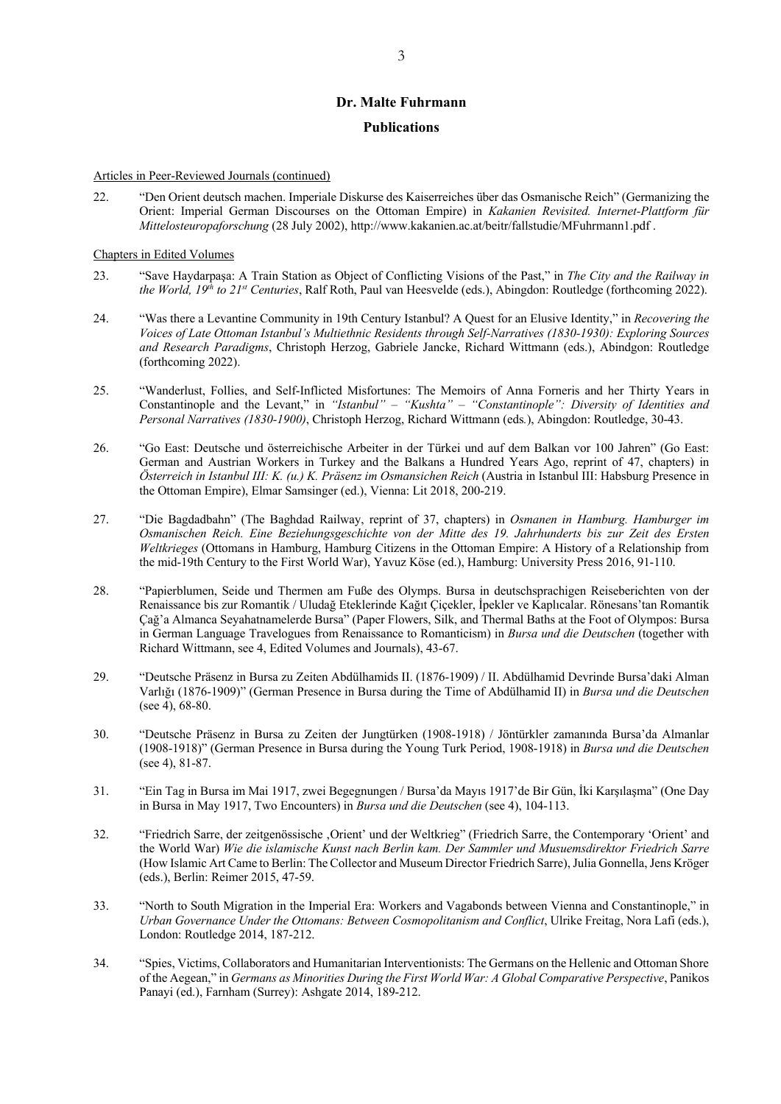### **Publications**

#### Articles in Peer-Reviewed Journals (continued)

22. "Den Orient deutsch machen. Imperiale Diskurse des Kaiserreiches über das Osmanische Reich" (Germanizing the Orient: Imperial German Discourses on the Ottoman Empire) in *Kakanien Revisited. Internet-Plattform für Mittelosteuropaforschung* (28 July 2002), http://www.kakanien.ac.at/beitr/fallstudie/MFuhrmann1.pdf .

### Chapters in Edited Volumes

- 23. "Save Haydarpaşa: A Train Station as Object of Conflicting Visions of the Past," in *The City and the Railway in the World, 19th to 21st Centuries*, Ralf Roth, Paul van Heesvelde (eds.), Abingdon: Routledge (forthcoming 2022).
- 24. "Was there a Levantine Community in 19th Century Istanbul? A Quest for an Elusive Identity," in *Recovering the Voices of Late Ottoman Istanbul's Multiethnic Residents through Self-Narratives (1830-1930): Exploring Sources and Research Paradigms*, Christoph Herzog, Gabriele Jancke, Richard Wittmann (eds.), Abindgon: Routledge (forthcoming 2022).
- 25. "Wanderlust, Follies, and Self-Inflicted Misfortunes: The Memoirs of Anna Forneris and her Thirty Years in Constantinople and the Levant," in *"Istanbul" – "Kushta" – "Constantinople": Diversity of Identities and Personal Narratives (1830-1900)*, Christoph Herzog, Richard Wittmann (eds*.*), Abingdon: Routledge, 30-43.
- 26. "Go East: Deutsche und österreichische Arbeiter in der Türkei und auf dem Balkan vor 100 Jahren" (Go East: German and Austrian Workers in Turkey and the Balkans a Hundred Years Ago, reprint of 47, chapters) in *Österreich in Istanbul III: K. (u.) K. Präsenz im Osmansichen Reich* (Austria in Istanbul III: Habsburg Presence in the Ottoman Empire), Elmar Samsinger (ed.), Vienna: Lit 2018, 200-219.
- 27. "Die Bagdadbahn" (The Baghdad Railway, reprint of 37, chapters) in *Osmanen in Hamburg. Hamburger im Osmanischen Reich. Eine Beziehungsgeschichte von der Mitte des 19. Jahrhunderts bis zur Zeit des Ersten Weltkrieges* (Ottomans in Hamburg, Hamburg Citizens in the Ottoman Empire: A History of a Relationship from the mid-19th Century to the First World War), Yavuz Köse (ed.), Hamburg: University Press 2016, 91-110.
- 28. "Papierblumen, Seide und Thermen am Fuße des Olymps. Bursa in deutschsprachigen Reiseberichten von der Renaissance bis zur Romantik / Uludağ Eteklerinde Kağıt Çiçekler, İpekler ve Kaplıcalar. Rönesans'tan Romantik Çağ'a Almanca Seyahatnamelerde Bursa" (Paper Flowers, Silk, and Thermal Baths at the Foot of Olympos: Bursa in German Language Travelogues from Renaissance to Romanticism) in *Bursa und die Deutschen* (together with Richard Wittmann, see 4, Edited Volumes and Journals), 43-67.
- 29. "Deutsche Präsenz in Bursa zu Zeiten Abdülhamids II. (1876-1909) / II. Abdülhamid Devrinde Bursa'daki Alman Varlığı (1876-1909)" (German Presence in Bursa during the Time of Abdülhamid II) in *Bursa und die Deutschen* (see 4), 68-80.
- 30. "Deutsche Präsenz in Bursa zu Zeiten der Jungtürken (1908-1918) / Jöntürkler zamanında Bursa'da Almanlar (1908-1918)" (German Presence in Bursa during the Young Turk Period, 1908-1918) in *Bursa und die Deutschen*  (see 4), 81-87.
- 31. "Ein Tag in Bursa im Mai 1917, zwei Begegnungen / Bursa'da Mayıs 1917'de Bir Gün, İki Karşılaşma" (One Day in Bursa in May 1917, Two Encounters) in *Bursa und die Deutschen* (see 4), 104-113.
- 32. "Friedrich Sarre, der zeitgenössische ,Orient' und der Weltkrieg" (Friedrich Sarre, the Contemporary 'Orient' and the World War) *Wie die islamische Kunst nach Berlin kam. Der Sammler und Musuemsdirektor Friedrich Sarre*  (How Islamic Art Came to Berlin: The Collector and Museum Director Friedrich Sarre), Julia Gonnella, Jens Kröger (eds.), Berlin: Reimer 2015, 47-59.
- 33. "North to South Migration in the Imperial Era: Workers and Vagabonds between Vienna and Constantinople," in *Urban Governance Under the Ottomans: Between Cosmopolitanism and Conflict*, Ulrike Freitag, Nora Lafi (eds.), London: Routledge 2014, 187-212.
- 34. "Spies, Victims, Collaborators and Humanitarian Interventionists: The Germans on the Hellenic and Ottoman Shore of the Aegean," in *Germans as Minorities During the First World War: A Global Comparative Perspective*, Panikos Panayi (ed.), Farnham (Surrey): Ashgate 2014, 189-212.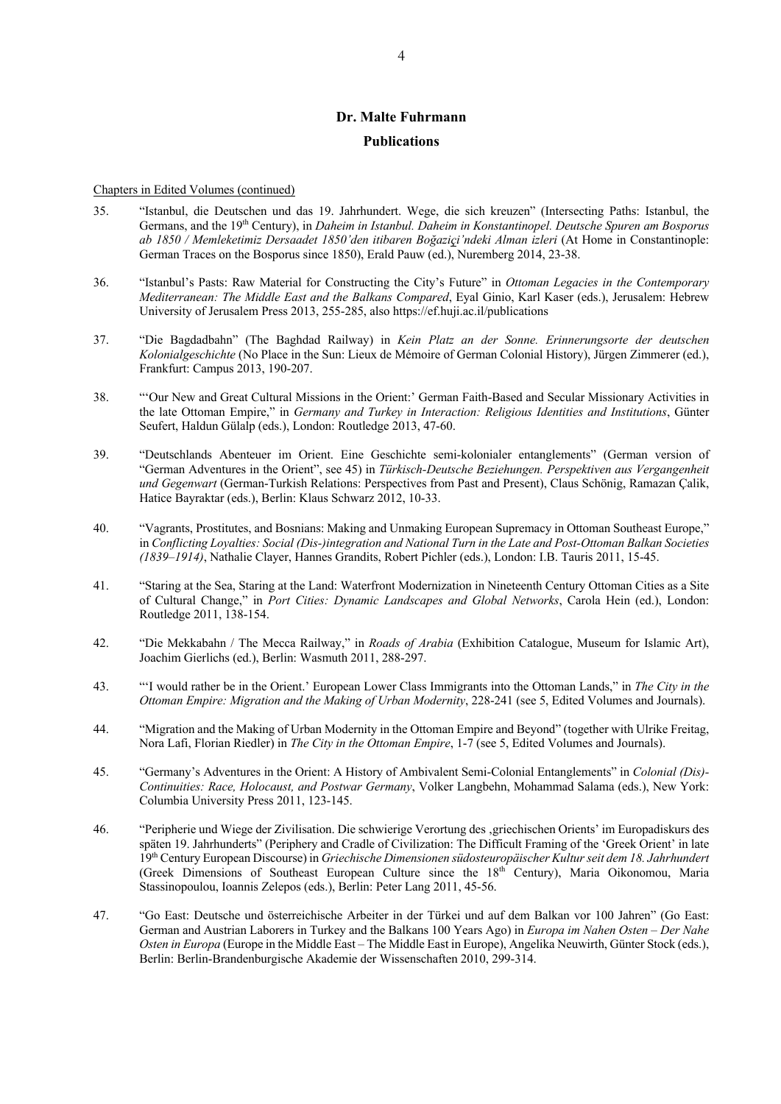### **Publications**

#### Chapters in Edited Volumes (continued)

- 35. "Istanbul, die Deutschen und das 19. Jahrhundert. Wege, die sich kreuzen" (Intersecting Paths: Istanbul, the Germans, and the 19th Century), in *Daheim in Istanbul. Daheim in Konstantinopel. Deutsche Spuren am Bosporus ab 1850 / Memleketimiz Dersaadet 1850'den itibaren Boğaziçi'ndeki Alman izleri* (At Home in Constantinople: German Traces on the Bosporus since 1850), Erald Pauw (ed.), Nuremberg 2014, 23-38.
- 36. "Istanbul's Pasts: Raw Material for Constructing the City's Future" in *Ottoman Legacies in the Contemporary Mediterranean: The Middle East and the Balkans Compared*, Eyal Ginio, Karl Kaser (eds.), Jerusalem: Hebrew University of Jerusalem Press 2013, 255-285, also https://ef.huji.ac.il/publications
- 37. "Die Bagdadbahn" (The Baghdad Railway) in *Kein Platz an der Sonne. Erinnerungsorte der deutschen Kolonialgeschichte* (No Place in the Sun: Lieux de Mémoire of German Colonial History), Jürgen Zimmerer (ed.), Frankfurt: Campus 2013, 190-207.
- 38. "'Our New and Great Cultural Missions in the Orient:' German Faith-Based and Secular Missionary Activities in the late Ottoman Empire," in *Germany and Turkey in Interaction: Religious Identities and Institutions*, Günter Seufert, Haldun Gülalp (eds.), London: Routledge 2013, 47-60.
- 39. "Deutschlands Abenteuer im Orient. Eine Geschichte semi-kolonialer entanglements" (German version of "German Adventures in the Orient", see 45) in *Türkisch-Deutsche Beziehungen. Perspektiven aus Vergangenheit und Gegenwart* (German-Turkish Relations: Perspectives from Past and Present), Claus Schönig, Ramazan Çalik, Hatice Bayraktar (eds.), Berlin: Klaus Schwarz 2012, 10-33.
- 40. "Vagrants, Prostitutes, and Bosnians: Making and Unmaking European Supremacy in Ottoman Southeast Europe," in *Conflicting Loyalties: Social (Dis-)integration and National Turn in the Late and Post-Ottoman Balkan Societies (1839–1914)*, Nathalie Clayer, Hannes Grandits, Robert Pichler (eds.), London: I.B. Tauris 2011, 15-45.
- 41. "Staring at the Sea, Staring at the Land: Waterfront Modernization in Nineteenth Century Ottoman Cities as a Site of Cultural Change," in *Port Cities: Dynamic Landscapes and Global Networks*, Carola Hein (ed.), London: Routledge 2011, 138-154.
- 42. "Die Mekkabahn / The Mecca Railway," in *Roads of Arabia* (Exhibition Catalogue, Museum for Islamic Art), Joachim Gierlichs (ed.), Berlin: Wasmuth 2011, 288-297.
- 43. "'I would rather be in the Orient.' European Lower Class Immigrants into the Ottoman Lands," in *The City in the Ottoman Empire: Migration and the Making of Urban Modernity*, 228-241 (see 5, Edited Volumes and Journals).
- 44. "Migration and the Making of Urban Modernity in the Ottoman Empire and Beyond" (together with Ulrike Freitag, Nora Lafi, Florian Riedler) in *The City in the Ottoman Empire*, 1-7 (see 5, Edited Volumes and Journals).
- 45. "Germany's Adventures in the Orient: A History of Ambivalent Semi-Colonial Entanglements" in *Colonial (Dis)- Continuities: Race, Holocaust, and Postwar Germany*, Volker Langbehn, Mohammad Salama (eds.), New York: Columbia University Press 2011, 123-145.
- 46. "Peripherie und Wiege der Zivilisation. Die schwierige Verortung des , griechischen Orients' im Europadiskurs des späten 19. Jahrhunderts" (Periphery and Cradle of Civilization: The Difficult Framing of the 'Greek Orient' in late 19th Century European Discourse) in *Griechische Dimensionen südosteuropäischer Kultur seit dem 18. Jahrhundert* (Greek Dimensions of Southeast European Culture since the  $18<sup>th</sup>$  Century), Maria Oikonomou, Maria Stassinopoulou, Ioannis Zelepos (eds.), Berlin: Peter Lang 2011, 45-56.
- 47. "Go East: Deutsche und österreichische Arbeiter in der Türkei und auf dem Balkan vor 100 Jahren" (Go East: German and Austrian Laborers in Turkey and the Balkans 100 Years Ago) in *Europa im Nahen Osten – Der Nahe Osten in Europa* (Europe in the Middle East – The Middle East in Europe), Angelika Neuwirth, Günter Stock (eds.), Berlin: Berlin-Brandenburgische Akademie der Wissenschaften 2010, 299-314.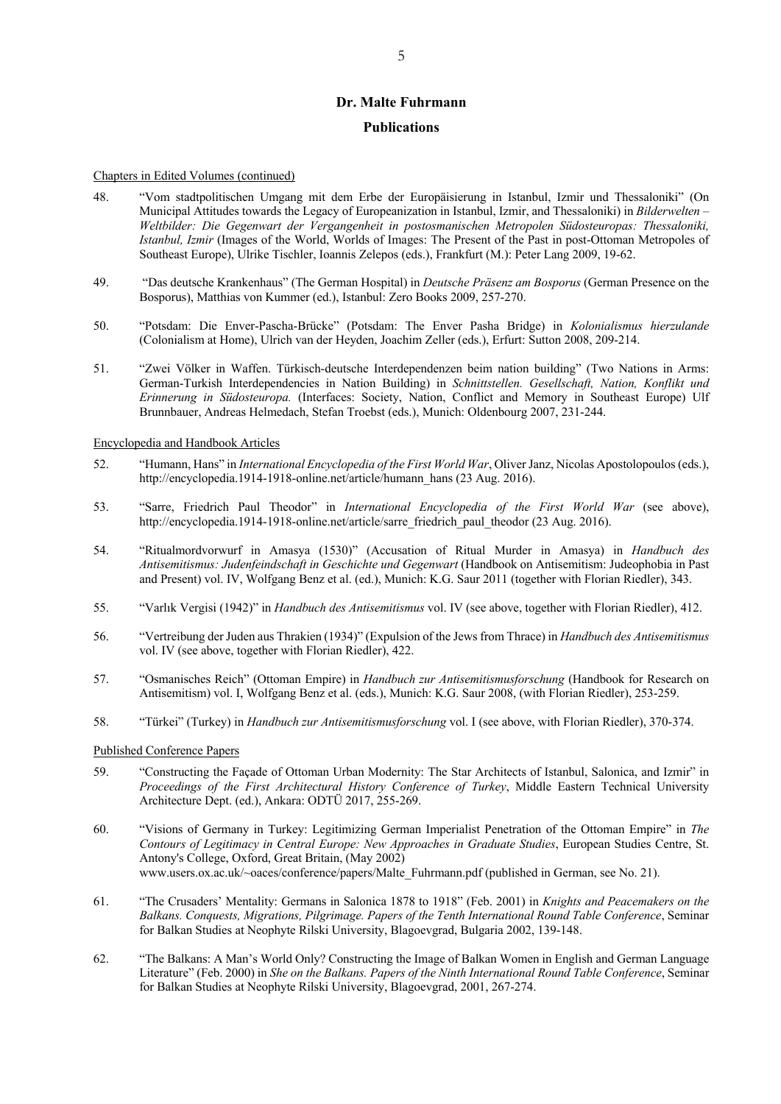### **Publications**

#### Chapters in Edited Volumes (continued)

- 48. "Vom stadtpolitischen Umgang mit dem Erbe der Europäisierung in Istanbul, Izmir und Thessaloniki" (On Municipal Attitudes towards the Legacy of Europeanization in Istanbul, Izmir, and Thessaloniki) in *Bilderwelten – Weltbilder: Die Gegenwart der Vergangenheit in postosmanischen Metropolen Südosteuropas: Thessaloniki, Istanbul, Izmir* (Images of the World, Worlds of Images: The Present of the Past in post-Ottoman Metropoles of Southeast Europe), Ulrike Tischler, Ioannis Zelepos (eds.), Frankfurt (M.): Peter Lang 2009, 19-62.
- 49. "Das deutsche Krankenhaus" (The German Hospital) in *Deutsche Präsenz am Bosporus* (German Presence on the Bosporus), Matthias von Kummer (ed.), Istanbul: Zero Books 2009, 257-270.
- 50. "Potsdam: Die Enver-Pascha-Brücke" (Potsdam: The Enver Pasha Bridge) in *Kolonialismus hierzulande*  (Colonialism at Home), Ulrich van der Heyden, Joachim Zeller (eds.), Erfurt: Sutton 2008, 209-214.
- 51. "Zwei Völker in Waffen. Türkisch-deutsche Interdependenzen beim nation building" (Two Nations in Arms: German-Turkish Interdependencies in Nation Building) in *Schnittstellen. Gesellschaft, Nation, Konflikt und Erinnerung in Südosteuropa.* (Interfaces: Society, Nation, Conflict and Memory in Southeast Europe) Ulf Brunnbauer, Andreas Helmedach, Stefan Troebst (eds.), Munich: Oldenbourg 2007, 231-244.

Encyclopedia and Handbook Articles

- 52. "Humann, Hans" in *International Encyclopedia of the First World War*, Oliver Janz, Nicolas Apostolopoulos (eds.), http://encyclopedia.1914-1918-online.net/article/humann\_hans (23 Aug. 2016).
- 53. "Sarre, Friedrich Paul Theodor" in *International Encyclopedia of the First World War* (see above), http://encyclopedia.1914-1918-online.net/article/sarre\_friedrich\_paul\_theodor (23 Aug. 2016).
- 54. "Ritualmordvorwurf in Amasya (1530)" (Accusation of Ritual Murder in Amasya) in *Handbuch des Antisemitismus: Judenfeindschaft in Geschichte und Gegenwart* (Handbook on Antisemitism: Judeophobia in Past and Present) vol. IV, Wolfgang Benz et al. (ed.), Munich: K.G. Saur 2011 (together with Florian Riedler), 343.
- 55. "Varlık Vergisi (1942)" in *Handbuch des Antisemitismus* vol. IV (see above, together with Florian Riedler), 412.
- 56. "Vertreibung der Juden aus Thrakien (1934)" (Expulsion of the Jews from Thrace) in *Handbuch des Antisemitismus* vol. IV (see above, together with Florian Riedler), 422.
- 57. "Osmanisches Reich" (Ottoman Empire) in *Handbuch zur Antisemitismusforschung* (Handbook for Research on Antisemitism) vol. I, Wolfgang Benz et al. (eds.), Munich: K.G. Saur 2008, (with Florian Riedler), 253-259.
- 58. "Türkei" (Turkey) in *Handbuch zur Antisemitismusforschung* vol. I (see above, with Florian Riedler), 370-374.

#### Published Conference Papers

- 59. "Constructing the Façade of Ottoman Urban Modernity: The Star Architects of Istanbul, Salonica, and Izmir" in *Proceedings of the First Architectural History Conference of Turkey*, Middle Eastern Technical University Architecture Dept. (ed.), Ankara: ODTÜ 2017, 255-269.
- 60. "Visions of Germany in Turkey: Legitimizing German Imperialist Penetration of the Ottoman Empire" in *The Contours of Legitimacy in Central Europe: New Approaches in Graduate Studies*, European Studies Centre, St. Antony's College, Oxford, Great Britain, (May 2002) www.users.ox.ac.uk/~oaces/conference/papers/Malte\_Fuhrmann.pdf (published in German, see No. 21).
- 61. "The Crusaders' Mentality: Germans in Salonica 1878 to 1918" (Feb. 2001) in *Knights and Peacemakers on the Balkans. Conquests, Migrations, Pilgrimage. Papers of the Tenth International Round Table Conference*, Seminar for Balkan Studies at Neophyte Rilski University, Blagoevgrad, Bulgaria 2002, 139-148.
- 62. "The Balkans: A Man's World Only? Constructing the Image of Balkan Women in English and German Language Literature" (Feb. 2000) in *She on the Balkans. Papers of the Ninth International Round Table Conference*, Seminar for Balkan Studies at Neophyte Rilski University, Blagoevgrad, 2001, 267-274.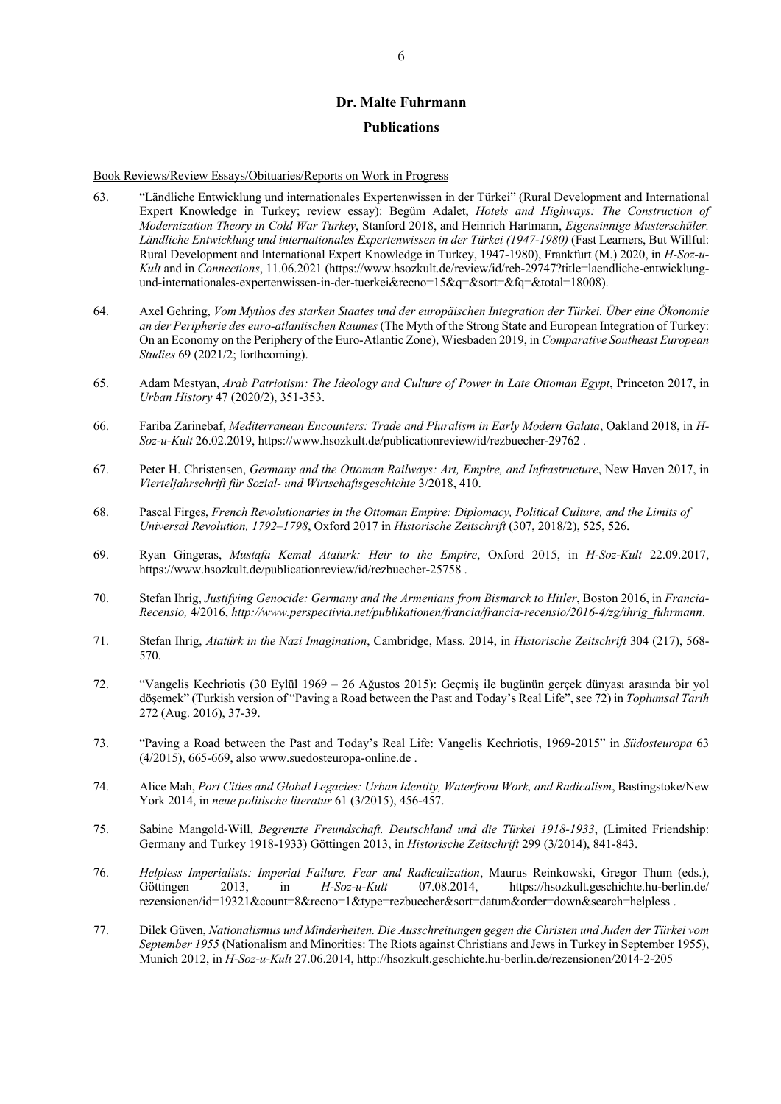# **Dr. Malte Fuhrmann Publications**

Book Reviews/Review Essays/Obituaries/Reports on Work in Progress

- 63. "Ländliche Entwicklung und internationales Expertenwissen in der Türkei" (Rural Development and International Expert Knowledge in Turkey; review essay): Begüm Adalet, *Hotels and Highways: The Construction of Modernization Theory in Cold War Turkey*, Stanford 2018, and Heinrich Hartmann, *Eigensinnige Musterschüler. Ländliche Entwicklung und internationales Expertenwissen in der Türkei (1947-1980)* (Fast Learners, But Willful: Rural Development and International Expert Knowledge in Turkey, 1947-1980), Frankfurt (M.) 2020, in *H-Soz-u-Kult* and in *Connections*, 11.06.2021 (https://www.hsozkult.de/review/id/reb-29747?title=laendliche-entwicklungund-internationales-expertenwissen-in-der-tuerkei&recno=15&q=&sort=&fq=&total=18008).
- 64. Axel Gehring, *Vom Mythos des starken Staates und der europäischen Integration der Türkei. Über eine Ökonomie an der Peripherie des euro-atlantischen Raumes* (The Myth of the Strong State and European Integration of Turkey: On an Economy on the Periphery of the Euro-Atlantic Zone), Wiesbaden 2019, in *Comparative Southeast European Studies* 69 (2021/2; forthcoming).
- 65. Adam Mestyan, *Arab Patriotism: The Ideology and Culture of Power in Late Ottoman Egypt*, Princeton 2017, in *Urban History* 47 (2020/2), 351-353.
- 66. Fariba Zarinebaf, *Mediterranean Encounters: Trade and Pluralism in Early Modern Galata*, Oakland 2018, in *H-Soz-u-Kult* 26.02.2019, https://www.hsozkult.de/publicationreview/id/rezbuecher-29762 .
- 67. Peter H. Christensen, *Germany and the Ottoman Railways: Art, Empire, and Infrastructure*, New Haven 2017, in *Vierteljahrschrift für Sozial- und Wirtschaftsgeschichte* 3/2018, 410.
- 68. Pascal Firges, *French Revolutionaries in the Ottoman Empire: Diplomacy, Political Culture, and the Limits of Universal Revolution, 1792–1798*, Oxford 2017 in *Historische Zeitschrift* (307, 2018/2), 525, 526.
- 69. Ryan Gingeras, *Mustafa Kemal Ataturk: Heir to the Empire*, Oxford 2015, in *H-Soz-Kult* 22.09.2017, https://www.hsozkult.de/publicationreview/id/rezbuecher-25758 .
- 70. Stefan Ihrig, *Justifying Genocide: Germany and the Armenians from Bismarck to Hitler*, Boston 2016, in *Francia-Recensio,* 4/2016, *http://www.perspectivia.net/publikationen/francia/francia-recensio/2016-4/zg/ihrig\_fuhrmann*.
- 71. Stefan Ihrig, *Atatürk in the Nazi Imagination*, Cambridge, Mass. 2014, in *Historische Zeitschrift* 304 (217), 568- 570.
- 72. "Vangelis Kechriotis (30 Eylül 1969 26 Ağustos 2015): Geçmiş ile bugünün gerçek dünyası arasında bir yol döşemek" (Turkish version of "Paving a Road between the Past and Today's Real Life", see 72) in *Toplumsal Tarih*  272 (Aug. 2016), 37-39.
- 73. "Paving a Road between the Past and Today's Real Life: Vangelis Kechriotis, 1969-2015" in *Südosteuropa* 63  $(4/2015)$ , 665-669, also www.suedosteuropa-online.de.
- 74. Alice Mah, *Port Cities and Global Legacies: Urban Identity, Waterfront Work, and Radicalism*, Bastingstoke/New York 2014, in *neue politische literatur* 61 (3/2015), 456-457.
- 75. Sabine Mangold-Will, *Begrenzte Freundschaft. Deutschland und die Türkei 1918-1933*, (Limited Friendship: Germany and Turkey 1918-1933) Göttingen 2013, in *Historische Zeitschrift* 299 (3/2014), 841-843.
- 76. *Helpless Imperialists: Imperial Failure, Fear and Radicalization*, Maurus Reinkowski, Gregor Thum (eds.), Göttingen 2013, in *H-Soz-u-Kult* 07.08.2014, https://hsozkult.geschichte.hu-berlin.de/ rezensionen/id=19321&count=8&recno=1&type=rezbuecher&sort=datum&order=down&search=helpless .
- 77. Dilek Güven, *Nationalismus und Minderheiten. Die Ausschreitungen gegen die Christen und Juden der Türkei vom September 1955* (Nationalism and Minorities: The Riots against Christians and Jews in Turkey in September 1955), Munich 2012, in *H-Soz-u-Kult* 27.06.2014, http://hsozkult.geschichte.hu-berlin.de/rezensionen/2014-2-205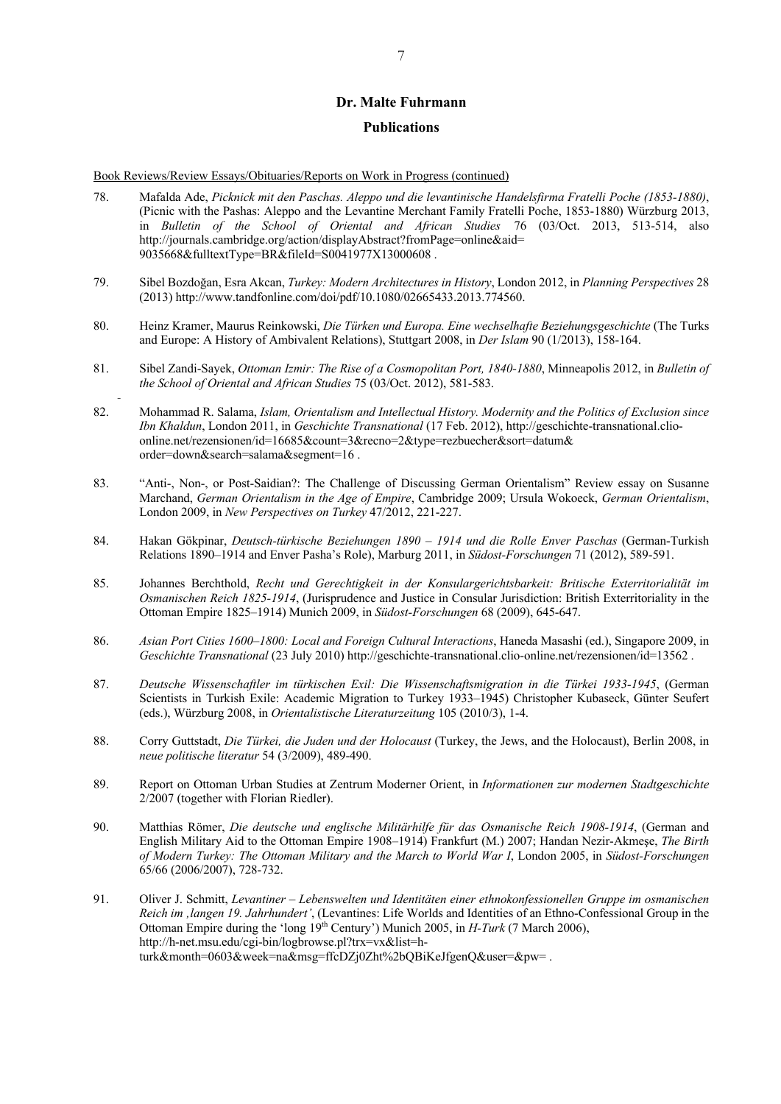#### **Publications**

Book Reviews/Review Essays/Obituaries/Reports on Work in Progress (continued)

- 78. Mafalda Ade, *Picknick mit den Paschas. Aleppo und die levantinische Handelsfirma Fratelli Poche (1853-1880)*, (Picnic with the Pashas: Aleppo and the Levantine Merchant Family Fratelli Poche, 1853-1880) Würzburg 2013, in *Bulletin of the School of Oriental and African Studies* 76 (03/Oct. 2013, 513-514, also http://journals.cambridge.org/action/displayAbstract?fromPage=online&aid= 9035668&fulltextType=BR&fileId=S0041977X13000608 .
- 79. Sibel Bozdoğan, Esra Akcan, *Turkey: Modern Architectures in History*, London 2012, in *Planning Perspectives* 28 (2013) http://www.tandfonline.com/doi/pdf/10.1080/02665433.2013.774560.
- 80. Heinz Kramer, Maurus Reinkowski, *Die Türken und Europa. Eine wechselhafte Beziehungsgeschichte* (The Turks and Europe: A History of Ambivalent Relations), Stuttgart 2008, in *Der Islam* 90 (1/2013), 158-164.
- 81. Sibel Zandi-Sayek, *Ottoman Izmir: The Rise of a Cosmopolitan Port, 1840-1880*, Minneapolis 2012, in *Bulletin of the School of Oriental and African Studies* 75 (03/Oct. 2012), 581-583.
- 82. Mohammad R. Salama, *Islam, Orientalism and Intellectual History. Modernity and the Politics of Exclusion since Ibn Khaldun*, London 2011, in *Geschichte Transnational* (17 Feb. 2012), http://geschichte-transnational.clioonline.net/rezensionen/id=16685&count=3&recno=2&type=rezbuecher&sort=datum& order=down&search=salama&segment=16 .
- 83. "Anti-, Non-, or Post-Saidian?: The Challenge of Discussing German Orientalism" Review essay on Susanne Marchand, *German Orientalism in the Age of Empire*, Cambridge 2009; Ursula Wokoeck, *German Orientalism*, London 2009, in *New Perspectives on Turkey* 47/2012, 221-227.
- 84. Hakan Gökpinar, *Deutsch-türkische Beziehungen 1890 – 1914 und die Rolle Enver Paschas* (German-Turkish Relations 1890–1914 and Enver Pasha's Role), Marburg 2011, in *Südost-Forschungen* 71 (2012), 589-591.
- 85. Johannes Berchthold, *Recht und Gerechtigkeit in der Konsulargerichtsbarkeit: Britische Exterritorialität im Osmanischen Reich 1825-1914*, (Jurisprudence and Justice in Consular Jurisdiction: British Exterritoriality in the Ottoman Empire 1825–1914) Munich 2009, in *Südost-Forschungen* 68 (2009), 645-647.
- 86. *Asian Port Cities 1600*–*1800: Local and Foreign Cultural Interactions*, Haneda Masashi (ed.), Singapore 2009, in *Geschichte Transnational* (23 July 2010) http://geschichte-transnational.clio-online.net/rezensionen/id=13562 .
- 87. *Deutsche Wissenschaftler im türkischen Exil: Die Wissenschaftsmigration in die Türkei 1933-1945*, (German Scientists in Turkish Exile: Academic Migration to Turkey 1933–1945) Christopher Kubaseck, Günter Seufert (eds.), Würzburg 2008, in *Orientalistische Literaturzeitung* 105 (2010/3), 1-4.
- 88. Corry Guttstadt, *Die Türkei, die Juden und der Holocaust* (Turkey, the Jews, and the Holocaust), Berlin 2008, in *neue politische literatur* 54 (3/2009), 489-490.
- 89. Report on Ottoman Urban Studies at Zentrum Moderner Orient, in *Informationen zur modernen Stadtgeschichte* 2/2007 (together with Florian Riedler).
- 90. Matthias Römer, *Die deutsche und englische Militärhilfe für das Osmanische Reich 1908-1914*, (German and English Military Aid to the Ottoman Empire 1908–1914) Frankfurt (M.) 2007; Handan Nezir-Akmeşe, *The Birth of Modern Turkey: The Ottoman Military and the March to World War I*, London 2005, in *Südost-Forschungen*  $65/66$  (2006/2007), 728-732.
- 91. Oliver J. Schmitt, *Levantiner – Lebenswelten und Identitäten einer ethnokonfessionellen Gruppe im osmanischen Reich im 'langen 19. Jahrhundert'*, (Levantines: Life Worlds and Identities of an Ethno-Confessional Group in the Ottoman Empire during the 'long 19th Century') Munich 2005, in *H-Turk* (7 March 2006), http://h-net.msu.edu/cgi-bin/logbrowse.pl?trx=vx&list=hturk&month=0603&week=na&msg=ffcDZj0Zht%2bQBiKeJfgenQ&user=&pw= .